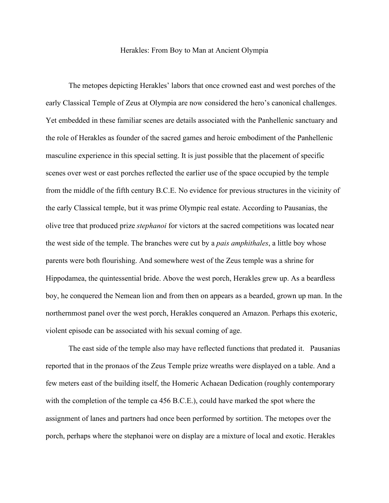## Herakles: From Boy to Man at Ancient Olympia

The metopes depicting Herakles' labors that once crowned east and west porches of the early Classical Temple of Zeus at Olympia are now considered the hero's canonical challenges. Yet embedded in these familiar scenes are details associated with the Panhellenic sanctuary and the role of Herakles as founder of the sacred games and heroic embodiment of the Panhellenic masculine experience in this special setting. It is just possible that the placement of specific scenes over west or east porches reflected the earlier use of the space occupied by the temple from the middle of the fifth century B.C.E. No evidence for previous structures in the vicinity of the early Classical temple, but it was prime Olympic real estate. According to Pausanias, the olive tree that produced prize *stephanoi* for victors at the sacred competitions was located near the west side of the temple. The branches were cut by a *pais amphithales*, a little boy whose parents were both flourishing. And somewhere west of the Zeus temple was a shrine for Hippodamea, the quintessential bride. Above the west porch, Herakles grew up. As a beardless boy, he conquered the Nemean lion and from then on appears as a bearded, grown up man. In the northernmost panel over the west porch, Herakles conquered an Amazon. Perhaps this exoteric, violent episode can be associated with his sexual coming of age.

The east side of the temple also may have reflected functions that predated it. Pausanias reported that in the pronaos of the Zeus Temple prize wreaths were displayed on a table. And a few meters east of the building itself, the Homeric Achaean Dedication (roughly contemporary with the completion of the temple ca 456 B.C.E.), could have marked the spot where the assignment of lanes and partners had once been performed by sortition. The metopes over the porch, perhaps where the stephanoi were on display are a mixture of local and exotic. Herakles